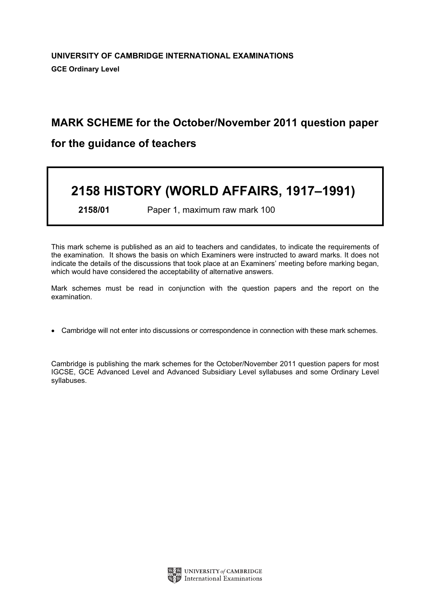## MARK SCHEME for the October/November 2011 question paper

### for the guidance of teachers

# 2158 HISTORY (WORLD AFFAIRS, 1917–1991)

2158/01 Paper 1, maximum raw mark 100

This mark scheme is published as an aid to teachers and candidates, to indicate the requirements of the examination. It shows the basis on which Examiners were instructed to award marks. It does not indicate the details of the discussions that took place at an Examiners' meeting before marking began, which would have considered the acceptability of alternative answers.

Mark schemes must be read in conjunction with the question papers and the report on the examination.

*•* Cambridge will not enter into discussions or correspondence in connection with these mark schemes.

Cambridge is publishing the mark schemes for the October/November 2011 question papers for most IGCSE, GCE Advanced Level and Advanced Subsidiary Level syllabuses and some Ordinary Level syllabuses.

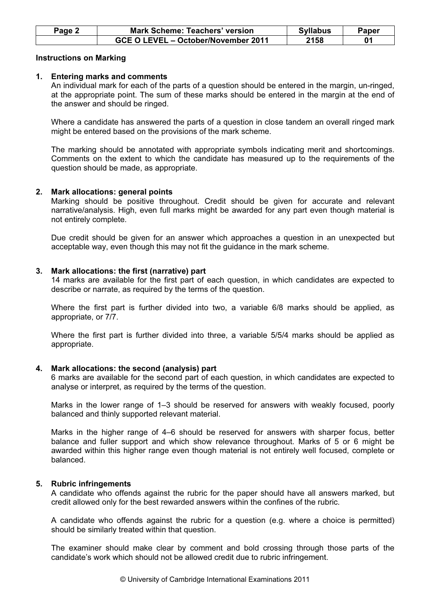| Page 2 | <b>Mark Scheme: Teachers' version</b> | <b>Syllabus</b> | Papeı |
|--------|---------------------------------------|-----------------|-------|
|        | GCE O LEVEL – October/November 2011   | 2158            |       |

#### Instructions on Marking

#### 1. Entering marks and comments

 An individual mark for each of the parts of a question should be entered in the margin, un-ringed, at the appropriate point. The sum of these marks should be entered in the margin at the end of the answer and should be ringed.

 Where a candidate has answered the parts of a question in close tandem an overall ringed mark might be entered based on the provisions of the mark scheme.

 The marking should be annotated with appropriate symbols indicating merit and shortcomings. Comments on the extent to which the candidate has measured up to the requirements of the question should be made, as appropriate.

#### 2. Mark allocations: general points

 Marking should be positive throughout. Credit should be given for accurate and relevant narrative/analysis. High, even full marks might be awarded for any part even though material is not entirely complete.

 Due credit should be given for an answer which approaches a question in an unexpected but acceptable way, even though this may not fit the guidance in the mark scheme.

#### 3. Mark allocations: the first (narrative) part

 14 marks are available for the first part of each question, in which candidates are expected to describe or narrate, as required by the terms of the question.

 Where the first part is further divided into two, a variable 6/8 marks should be applied, as appropriate, or 7/7.

 Where the first part is further divided into three, a variable 5/5/4 marks should be applied as appropriate.

#### 4. Mark allocations: the second (analysis) part

 6 marks are available for the second part of each question, in which candidates are expected to analyse or interpret, as required by the terms of the question.

 Marks in the lower range of 1–3 should be reserved for answers with weakly focused, poorly balanced and thinly supported relevant material.

 Marks in the higher range of 4–6 should be reserved for answers with sharper focus, better balance and fuller support and which show relevance throughout. Marks of 5 or 6 might be awarded within this higher range even though material is not entirely well focused, complete or balanced.

#### 5. Rubric infringements

 A candidate who offends against the rubric for the paper should have all answers marked, but credit allowed only for the best rewarded answers within the confines of the rubric.

 A candidate who offends against the rubric for a question (e.g. where a choice is permitted) should be similarly treated within that question.

 The examiner should make clear by comment and bold crossing through those parts of the candidate's work which should not be allowed credit due to rubric infringement.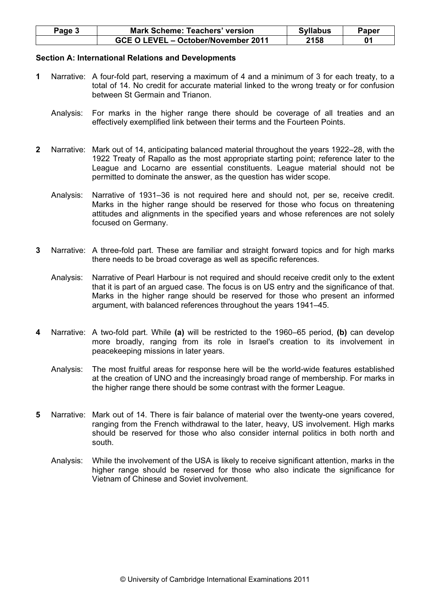| Page 5 | <b>Mark Scheme: Teachers' version</b> | <b>Syllabus</b> | Paper |
|--------|---------------------------------------|-----------------|-------|
|        | GCE O LEVEL - October/November 2011   | 2158            |       |

#### Section A: International Relations and Developments

- 1 Narrative: A four-fold part, reserving a maximum of 4 and a minimum of 3 for each treaty, to a total of 14. No credit for accurate material linked to the wrong treaty or for confusion between St Germain and Trianon.
	- Analysis: For marks in the higher range there should be coverage of all treaties and an effectively exemplified link between their terms and the Fourteen Points.
- 2 Narrative: Mark out of 14, anticipating balanced material throughout the years 1922–28, with the 1922 Treaty of Rapallo as the most appropriate starting point; reference later to the League and Locarno are essential constituents. League material should not be permitted to dominate the answer, as the question has wider scope.
	- Analysis: Narrative of 1931–36 is not required here and should not, per se, receive credit. Marks in the higher range should be reserved for those who focus on threatening attitudes and alignments in the specified years and whose references are not solely focused on Germany.
- 3 Narrative: A three-fold part. These are familiar and straight forward topics and for high marks there needs to be broad coverage as well as specific references.
	- Analysis: Narrative of Pearl Harbour is not required and should receive credit only to the extent that it is part of an argued case. The focus is on US entry and the significance of that. Marks in the higher range should be reserved for those who present an informed argument, with balanced references throughout the years 1941–45.
- 4 Narrative: A two-fold part. While (a) will be restricted to the 1960–65 period. (b) can develop more broadly, ranging from its role in Israel's creation to its involvement in peacekeeping missions in later years.
	- Analysis: The most fruitful areas for response here will be the world-wide features established at the creation of UNO and the increasingly broad range of membership. For marks in the higher range there should be some contrast with the former League.
- 5 Narrative: Mark out of 14. There is fair balance of material over the twenty-one years covered, ranging from the French withdrawal to the later, heavy, US involvement. High marks should be reserved for those who also consider internal politics in both north and south.
	- Analysis: While the involvement of the USA is likely to receive significant attention, marks in the higher range should be reserved for those who also indicate the significance for Vietnam of Chinese and Soviet involvement.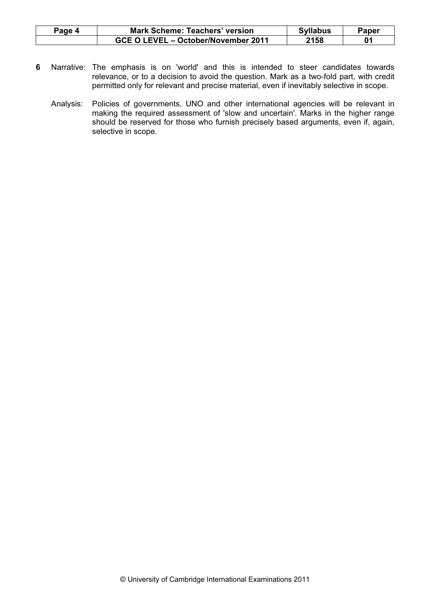| Page 4 | <b>Mark Scheme: Teachers' version</b> | <b>Syllabus</b> | Paper |
|--------|---------------------------------------|-----------------|-------|
|        | GCE O LEVEL – October/November 2011   | 2158            |       |

- 6 Narrative: The emphasis is on 'world' and this is intended to steer candidates towards relevance, or to a decision to avoid the question. Mark as a two-fold part, with credit permitted only for relevant and precise material, even if inevitably selective in scope.
	- Analysis: Policies of governments, UNO and other international agencies will be relevant in making the required assessment of 'slow and uncertain'. Marks in the higher range should be reserved for those who furnish precisely based arguments, even if, again, selective in scope.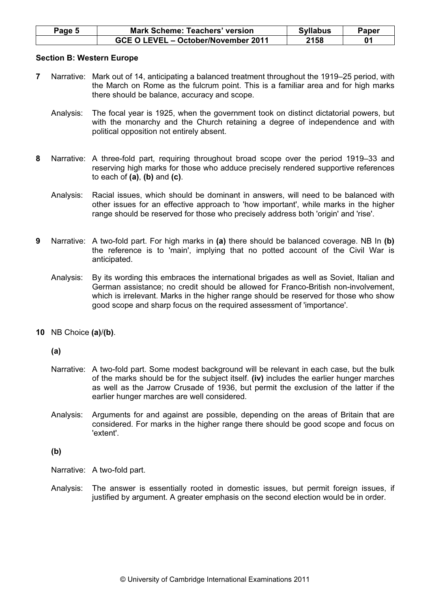| Page 5 | <b>Mark Scheme: Teachers' version</b> | <b>Syllabus</b> | Paper |
|--------|---------------------------------------|-----------------|-------|
|        | GCE O LEVEL - October/November 2011   | 2158            |       |

#### Section B: Western Europe

- 7 Narrative: Mark out of 14, anticipating a balanced treatment throughout the 1919–25 period, with the March on Rome as the fulcrum point. This is a familiar area and for high marks there should be balance, accuracy and scope.
	- Analysis: The focal year is 1925, when the government took on distinct dictatorial powers, but with the monarchy and the Church retaining a degree of independence and with political opposition not entirely absent.
- 8 Narrative: A three-fold part, requiring throughout broad scope over the period 1919–33 and reserving high marks for those who adduce precisely rendered supportive references to each of  $(a)$ ,  $(b)$  and  $(c)$ .
	- Analysis: Racial issues, which should be dominant in answers, will need to be balanced with other issues for an effective approach to 'how important', while marks in the higher range should be reserved for those who precisely address both 'origin' and 'rise'.
- 9 Narrative: A two-fold part. For high marks in (a) there should be balanced coverage. NB In (b) the reference is to 'main', implying that no potted account of the Civil War is anticipated.
	- Analysis: By its wording this embraces the international brigades as well as Soviet, Italian and German assistance; no credit should be allowed for Franco-British non-involvement, which is irrelevant. Marks in the higher range should be reserved for those who show good scope and sharp focus on the required assessment of 'importance'.
- 10 NB Choice (a)/(b).

(a)

- Narrative: A two-fold part. Some modest background will be relevant in each case, but the bulk of the marks should be for the subject itself. (iv) includes the earlier hunger marches as well as the Jarrow Crusade of 1936, but permit the exclusion of the latter if the earlier hunger marches are well considered.
- Analysis: Arguments for and against are possible, depending on the areas of Britain that are considered. For marks in the higher range there should be good scope and focus on 'extent'.

(b)

Narrative: A two-fold part.

 Analysis: The answer is essentially rooted in domestic issues, but permit foreign issues, if justified by argument. A greater emphasis on the second election would be in order.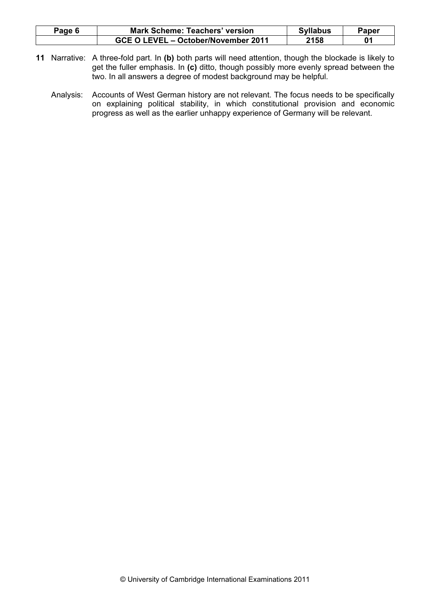| Page 6 | <b>Mark Scheme: Teachers' version</b> | <b>Syllabus</b> | Paper |
|--------|---------------------------------------|-----------------|-------|
|        | GCE O LEVEL - October/November 2011   | 2158            |       |

- 11 Narrative: A three-fold part. In (b) both parts will need attention, though the blockade is likely to get the fuller emphasis. In (c) ditto, though possibly more evenly spread between the two. In all answers a degree of modest background may be helpful.
	- Analysis: Accounts of West German history are not relevant. The focus needs to be specifically on explaining political stability, in which constitutional provision and economic progress as well as the earlier unhappy experience of Germany will be relevant.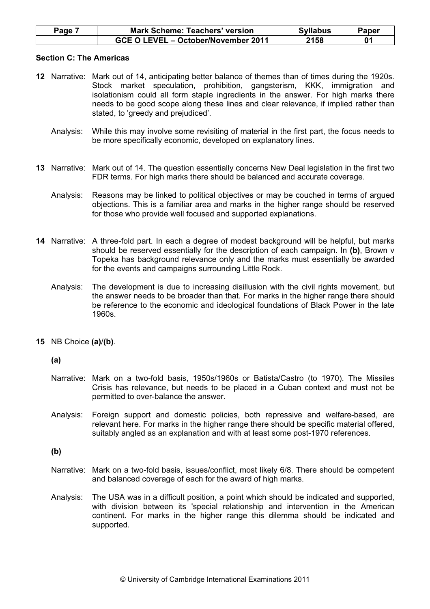| Page | <b>Mark Scheme: Teachers' version</b> | <b>Syllabus</b> | Paper |
|------|---------------------------------------|-----------------|-------|
|      | GCE O LEVEL - October/November 2011   | 2158            |       |

#### Section C: The Americas

- 12 Narrative: Mark out of 14, anticipating better balance of themes than of times during the 1920s. Stock market speculation, prohibition, gangsterism, KKK, immigration and isolationism could all form staple ingredients in the answer. For high marks there needs to be good scope along these lines and clear relevance, if implied rather than stated, to 'greedy and prejudiced'.
	- Analysis: While this may involve some revisiting of material in the first part, the focus needs to be more specifically economic, developed on explanatory lines.
- 13 Narrative: Mark out of 14. The question essentially concerns New Deal legislation in the first two FDR terms. For high marks there should be balanced and accurate coverage.
	- Analysis: Reasons may be linked to political objectives or may be couched in terms of argued objections. This is a familiar area and marks in the higher range should be reserved for those who provide well focused and supported explanations.
- 14 Narrative: A three-fold part. In each a degree of modest background will be helpful, but marks should be reserved essentially for the description of each campaign. In (b), Brown v Topeka has background relevance only and the marks must essentially be awarded for the events and campaigns surrounding Little Rock.
	- Analysis: The development is due to increasing disillusion with the civil rights movement, but the answer needs to be broader than that. For marks in the higher range there should be reference to the economic and ideological foundations of Black Power in the late 1960s.
- 15 NB Choice (a)/(b).

(a)

- Narrative: Mark on a two-fold basis, 1950s/1960s or Batista/Castro (to 1970). The Missiles Crisis has relevance, but needs to be placed in a Cuban context and must not be permitted to over-balance the answer.
- Analysis: Foreign support and domestic policies, both repressive and welfare-based, are relevant here. For marks in the higher range there should be specific material offered, suitably angled as an explanation and with at least some post-1970 references.

(b)

- Narrative: Mark on a two-fold basis, issues/conflict, most likely 6/8. There should be competent and balanced coverage of each for the award of high marks.
- Analysis: The USA was in a difficult position, a point which should be indicated and supported, with division between its 'special relationship and intervention in the American continent. For marks in the higher range this dilemma should be indicated and supported.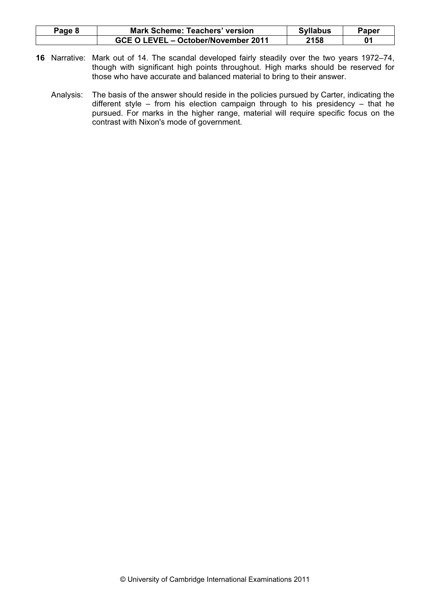| Page 8 | <b>Mark Scheme: Teachers' version</b> | <b>Syllabus</b> | Paper |
|--------|---------------------------------------|-----------------|-------|
|        | GCE O LEVEL – October/November 2011   | 2158            |       |

- 16 Narrative: Mark out of 14. The scandal developed fairly steadily over the two years 1972–74, though with significant high points throughout. High marks should be reserved for those who have accurate and balanced material to bring to their answer.
	- Analysis: The basis of the answer should reside in the policies pursued by Carter, indicating the different style – from his election campaign through to his presidency – that he pursued. For marks in the higher range, material will require specific focus on the contrast with Nixon's mode of government.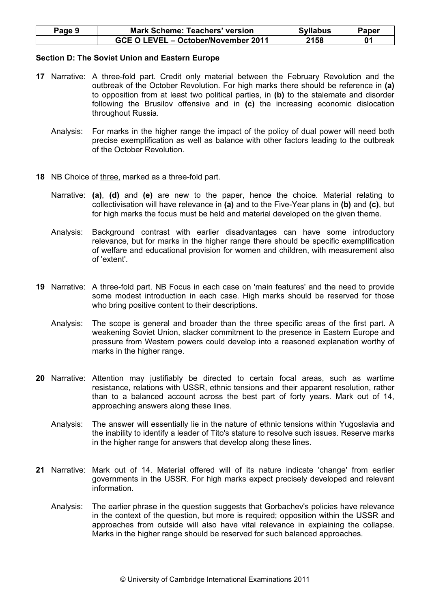| Page 9 | <b>Mark Scheme: Teachers' version</b> | <b>Syllabus</b> | Paper |
|--------|---------------------------------------|-----------------|-------|
|        | GCE O LEVEL - October/November 2011   | 2158            |       |

#### Section D: The Soviet Union and Eastern Europe

- 17 Narrative: A three-fold part. Credit only material between the February Revolution and the outbreak of the October Revolution. For high marks there should be reference in (a) to opposition from at least two political parties, in (b) to the stalemate and disorder following the Brusilov offensive and in (c) the increasing economic dislocation throughout Russia.
	- Analysis: For marks in the higher range the impact of the policy of dual power will need both precise exemplification as well as balance with other factors leading to the outbreak of the October Revolution.
- 18 NB Choice of three, marked as a three-fold part.
	- Narrative: (a), (d) and (e) are new to the paper, hence the choice. Material relating to collectivisation will have relevance in (a) and to the Five-Year plans in (b) and (c), but for high marks the focus must be held and material developed on the given theme.
	- Analysis: Background contrast with earlier disadvantages can have some introductory relevance, but for marks in the higher range there should be specific exemplification of welfare and educational provision for women and children, with measurement also of 'extent'.
- 19 Narrative: A three-fold part. NB Focus in each case on 'main features' and the need to provide some modest introduction in each case. High marks should be reserved for those who bring positive content to their descriptions.
	- Analysis: The scope is general and broader than the three specific areas of the first part. A weakening Soviet Union, slacker commitment to the presence in Eastern Europe and pressure from Western powers could develop into a reasoned explanation worthy of marks in the higher range.
- 20 Narrative: Attention may justifiably be directed to certain focal areas, such as wartime resistance, relations with USSR, ethnic tensions and their apparent resolution, rather than to a balanced account across the best part of forty years. Mark out of 14, approaching answers along these lines.
	- Analysis: The answer will essentially lie in the nature of ethnic tensions within Yugoslavia and the inability to identify a leader of Tito's stature to resolve such issues. Reserve marks in the higher range for answers that develop along these lines.
- 21 Narrative: Mark out of 14. Material offered will of its nature indicate 'change' from earlier governments in the USSR. For high marks expect precisely developed and relevant information.
	- Analysis: The earlier phrase in the question suggests that Gorbachev's policies have relevance in the context of the question, but more is required; opposition within the USSR and approaches from outside will also have vital relevance in explaining the collapse. Marks in the higher range should be reserved for such balanced approaches.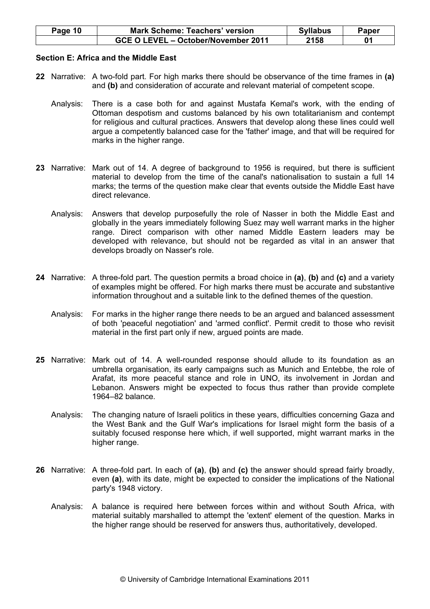| Page 10 | <b>Mark Scheme: Teachers' version</b> | <b>Syllabus</b> | Paper |
|---------|---------------------------------------|-----------------|-------|
|         | GCE O LEVEL - October/November 2011   | 2158            |       |

#### Section E: Africa and the Middle East

- 22 Narrative: A two-fold part. For high marks there should be observance of the time frames in (a) and (b) and consideration of accurate and relevant material of competent scope.
	- Analysis: There is a case both for and against Mustafa Kemal's work, with the ending of Ottoman despotism and customs balanced by his own totalitarianism and contempt for religious and cultural practices. Answers that develop along these lines could well argue a competently balanced case for the 'father' image, and that will be required for marks in the higher range.
- 23 Narrative: Mark out of 14. A degree of background to 1956 is required, but there is sufficient material to develop from the time of the canal's nationalisation to sustain a full 14 marks; the terms of the question make clear that events outside the Middle East have direct relevance.
	- Analysis: Answers that develop purposefully the role of Nasser in both the Middle East and globally in the years immediately following Suez may well warrant marks in the higher range. Direct comparison with other named Middle Eastern leaders may be developed with relevance, but should not be regarded as vital in an answer that develops broadly on Nasser's role.
- 24 Narrative: A three-fold part. The question permits a broad choice in (a), (b) and (c) and a variety of examples might be offered. For high marks there must be accurate and substantive information throughout and a suitable link to the defined themes of the question.
	- Analysis: For marks in the higher range there needs to be an argued and balanced assessment of both 'peaceful negotiation' and 'armed conflict'. Permit credit to those who revisit material in the first part only if new, argued points are made.
- 25 Narrative: Mark out of 14. A well-rounded response should allude to its foundation as an umbrella organisation, its early campaigns such as Munich and Entebbe, the role of Arafat, its more peaceful stance and role in UNO, its involvement in Jordan and Lebanon. Answers might be expected to focus thus rather than provide complete 1964–82 balance.
	- Analysis: The changing nature of Israeli politics in these years, difficulties concerning Gaza and the West Bank and the Gulf War's implications for Israel might form the basis of a suitably focused response here which, if well supported, might warrant marks in the higher range.
- 26 Narrative: A three-fold part. In each of (a), (b) and (c) the answer should spread fairly broadly, even (a), with its date, might be expected to consider the implications of the National party's 1948 victory.
	- Analysis: A balance is required here between forces within and without South Africa, with material suitably marshalled to attempt the 'extent' element of the question. Marks in the higher range should be reserved for answers thus, authoritatively, developed.